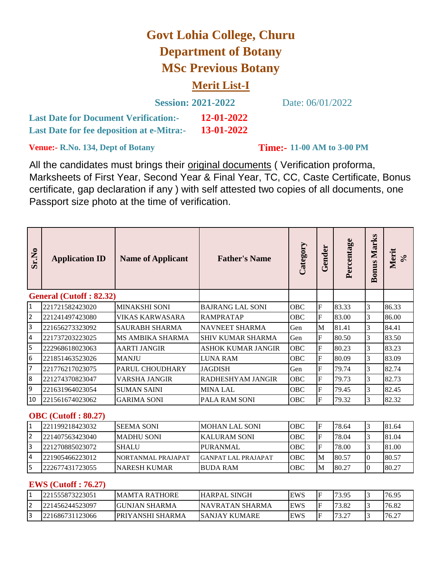# **Govt Lohia College, Churu Department of Botany MSc Previous Botany**

## **Merit List-I**

| <b>Session: 2021-2022</b>                        |            |  |  |
|--------------------------------------------------|------------|--|--|
| <b>Last Date for Document Verification:-</b>     | 12-01-2022 |  |  |
| <b>Last Date for fee deposition at e-Mitra:-</b> | 13-01-2022 |  |  |

Date: 06/01/2022

**Venue:- R.No. 134, Dept of Botany** 

**Time:- 11-00 AM to 3-00 PM** 

All the candidates must brings their original documents ( Verification proforma, Marksheets of First Year, Second Year & Final Year, TC, CC, Caste Certificate, Bonus certificate, gap declaration if any ) with self attested two copies of all documents, one Passport size photo at the time of verification.

| Sr.No                   | <b>Application ID</b>          | <b>Name of Applicant</b> | <b>Father's Name</b>       | Category   | Gender                  | Percentage | <b>Bonus Marks</b> | Merit<br>$\mathcal{S}_{\mathbf{0}}$ |
|-------------------------|--------------------------------|--------------------------|----------------------------|------------|-------------------------|------------|--------------------|-------------------------------------|
|                         | <b>General (Cutoff: 82.32)</b> |                          |                            |            |                         |            |                    |                                     |
| $\mathbf{1}$            | 221721582423020                | <b>MINAKSHI SONI</b>     | <b>BAJRANG LAL SONI</b>    | OBC        | F                       | 83.33      | 3                  | 86.33                               |
| $\overline{2}$          | 221241497423080                | VIKAS KARWASARA          | <b>RAMPRATAP</b>           | OBC        | F                       | 83.00      | 3                  | 86.00                               |
| 3                       | 221656273323092                | <b>SAURABH SHARMA</b>    | NAVNEET SHARMA             | Gen        | M                       | 81.41      | 3                  | 84.41                               |
| $\overline{4}$          | 221737203223025                | MS AMBIKA SHARMA         | <b>SHIV KUMAR SHARMA</b>   | Gen        | F                       | 80.50      | 3                  | 83.50                               |
| 5                       | 222968618023063                | <b>AARTI JANGIR</b>      | ASHOK KUMAR JANGIR         | OBC        | $\overline{\mathrm{F}}$ | 80.23      | 3                  | 83.23                               |
| 6                       | 221851463523026                | <b>MANJU</b>             | <b>LUNA RAM</b>            | <b>OBC</b> | F                       | 80.09      | 3                  | 83.09                               |
| $\overline{7}$          | 221776217023075                | PARUL CHOUDHARY          | <b>JAGDISH</b>             | Gen        | F                       | 79.74      | 3                  | 82.74                               |
| $\boldsymbol{8}$        | 221274370823047                | <b>VARSHA JANGIR</b>     | RADHESHYAM JANGIR          | OBC        | F                       | 79.73      | 3                  | 82.73                               |
| 9                       | 221631964023054                | <b>SUMAN SAINI</b>       | <b>MINA LAL</b>            | <b>OBC</b> | F                       | 79.45      | 3                  | 82.45                               |
| 10                      | 221561674023062                | <b>GARIMA SONI</b>       | PALA RAM SONI              | OBC        | $\overline{F}$          | 79.32      | 3                  | 82.32                               |
|                         | <b>OBC</b> (Cutoff: 80.27)     |                          |                            |            |                         |            |                    |                                     |
| $\mathbf{1}$            | 221199218423032                | <b>SEEMA SONI</b>        | <b>MOHAN LAL SONI</b>      | <b>OBC</b> | F                       | 78.64      | 3                  | 81.64                               |
| $\overline{2}$          | 221407563423040                | <b>MADHU SONI</b>        | <b>KALURAM SONI</b>        | <b>OBC</b> | $\overline{\mathrm{F}}$ | 78.04      | 3                  | 81.04                               |
| 3                       | 221270885023072                | <b>SHALU</b>             | <b>PURANMAL</b>            | OBC        | $\mathbf F$             | 78.00      | 3                  | 81.00                               |
| $\overline{\mathbf{4}}$ | 221905466223012                | NORTANMAL PRAJAPAT       | <b>GANPAT LAL PRAJAPAT</b> | OBC        | M                       | 80.57      | $\overline{0}$     | 80.57                               |
| 5                       | 222677431723055                | <b>NARESH KUMAR</b>      | <b>BUDA RAM</b>            | <b>OBC</b> | M                       | 80.27      | $\overline{0}$     | 80.27                               |
|                         | <b>EWS</b> (Cutoff: 76.27)     |                          |                            |            |                         |            |                    |                                     |
| $\overline{1}$          | 221555873223051                | <b>MAMTA RATHORE</b>     | <b>HARPAL SINGH</b>        | <b>EWS</b> | F                       | 73.95      | 3                  | 76.95                               |
| $\overline{2}$          | 221456244523097                | <b>GUNJAN SHARMA</b>     | <b>NAVRATAN SHARMA</b>     | <b>EWS</b> | F                       | 73.82      | 3                  | 76.82                               |
| $\overline{3}$          | 221686731123066                | PRIYANSHI SHARMA         | SANJAY KUMARE              | <b>EWS</b> | lF                      | 73.27      | 3                  | 76.27                               |